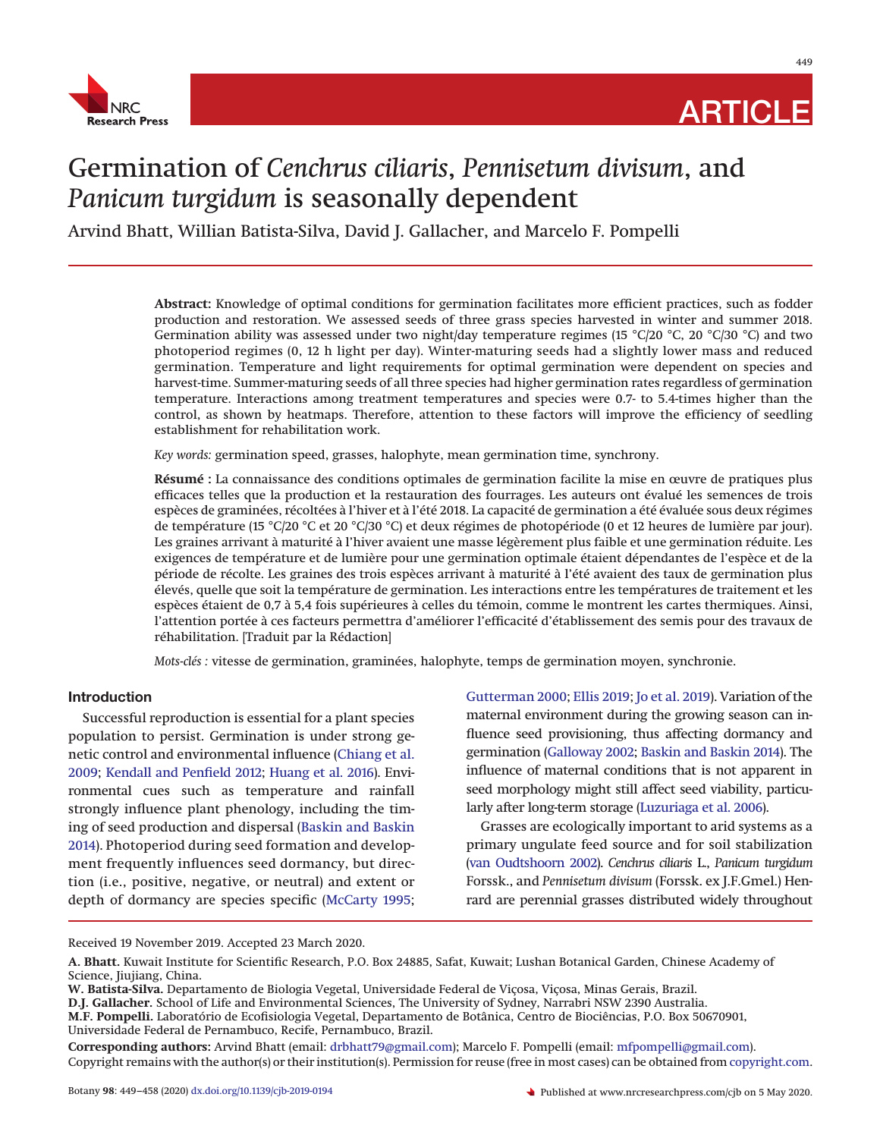

449

# Germination of *Cenchrus ciliaris*, *Pennisetum divisum*, and *Panicum turgidum* is seasonally dependent

Arvind Bhatt, Willian Batista-Silva, David J. Gallacher, and Marcelo F. Pompelli

**Abstract:** Knowledge of optimal conditions for germination facilitates more efficient practices, such as fodder production and restoration. We assessed seeds of three grass species harvested in winter and summer 2018. Germination ability was assessed under two night/day temperature regimes (15 °C/20 °C, 20 °C/30 °C) and two photoperiod regimes (0, 12 h light per day). Winter-maturing seeds had a slightly lower mass and reduced germination. Temperature and light requirements for optimal germination were dependent on species and harvest-time. Summer-maturing seeds of all three species had higher germination rates regardless of germination temperature. Interactions among treatment temperatures and species were 0.7- to 5.4-times higher than the control, as shown by heatmaps. Therefore, attention to these factors will improve the efficiency of seedling establishment for rehabilitation work.

*Key words:* germination speed, grasses, halophyte, mean germination time, synchrony.

**Résumé :** La connaissance des conditions optimales de germination facilite la mise en œuvre de pratiques plus efficaces telles que la production et la restauration des fourrages. Les auteurs ont évalué les semences de trois espèces de graminées, récoltées à l'hiver et à l'été 2018. La capacité de germination a été évaluée sous deux régimes de température (15 °C/20 °C et 20 °C/30 °C) et deux régimes de photopériode (0 et 12 heures de lumière par jour). Les graines arrivant à maturité à l'hiver avaient une masse légèrement plus faible et une germination réduite. Les exigences de température et de lumière pour une germination optimale étaient dépendantes de l'espèce et de la période de récolte. Les graines des trois espèces arrivant à maturité à l'été avaient des taux de germination plus élevés, quelle que soit la température de germination. Les interactions entre les températures de traitement et les espèces étaient de 0,7 à 5,4 fois supérieures à celles du témoin, comme le montrent les cartes thermiques. Ainsi, l'attention portée à ces facteurs permettra d'améliorer l'efficacité d'établissement des semis pour des travaux de réhabilitation. [Traduit par la Rédaction]

*Mots-clés :* vitesse de germination, graminées, halophyte, temps de germination moyen, synchronie.

# **Introduction**

Successful reproduction is essential for a plant species population to persist. Germination is under strong genetic control and environmental influence [\(Chiang et al.](#page-7-0) [2009;](#page-7-0) [Kendall and Penfield 2012;](#page-8-0) [Huang et al. 2016\)](#page-8-1). Environmental cues such as temperature and rainfall strongly influence plant phenology, including the timing of seed production and dispersal [\(Baskin and Baskin](#page-7-1) [2014\)](#page-7-1). Photoperiod during seed formation and development frequently influences seed dormancy, but direction (i.e., positive, negative, or neutral) and extent or depth of dormancy are species specific [\(McCarty 1995;](#page-8-2)

[Gutterman 2000;](#page-8-3) [Ellis 2019;](#page-7-2) [Jo et al. 2019\)](#page-8-4). Variation of the maternal environment during the growing season can influence seed provisioning, thus affecting dormancy and germination [\(Galloway 2002;](#page-8-5) [Baskin and Baskin 2014\)](#page-7-1). The influence of maternal conditions that is not apparent in seed morphology might still affect seed viability, particularly after long-term storage [\(Luzuriaga et al. 2006\)](#page-8-6).

Grasses are ecologically important to arid systems as a primary ungulate feed source and for soil stabilization [\(van Oudtshoorn 2002\)](#page-9-0). *Cenchrus ciliaris* L., *Panicum turgidum* Forssk., and *Pennisetum divisum* (Forssk. ex J.F.Gmel.) Henrard are perennial grasses distributed widely throughout

Received 19 November 2019. Accepted 23 March 2020.

**M.F. Pompelli.** Laboratório de Ecofisiologia Vegetal, Departamento de Botânica, Centro de Biociências, P.O. Box 50670901, Universidade Federal de Pernambuco, Recife, Pernambuco, Brazil.

**A. Bhatt.** Kuwait Institute for Scientific Research, P.O. Box 24885, Safat, Kuwait; Lushan Botanical Garden, Chinese Academy of Science, Jiujiang, China.

**W. Batista-Silva.** Departamento de Biologia Vegetal, Universidade Federal de Viçosa, Viçosa, Minas Gerais, Brazil.

**D.J. Gallacher.** School of Life and Environmental Sciences, The University of Sydney, Narrabri NSW 2390 Australia.

**Corresponding authors:** Arvind Bhatt (email: drbhatt79@gmail.com); Marcelo F. Pompelli (email: mfpompelli@gmail.com). Copyright remains with the author(s) or their institution(s). Permission for reuse (free in most cases) can be obtained from copyright.com.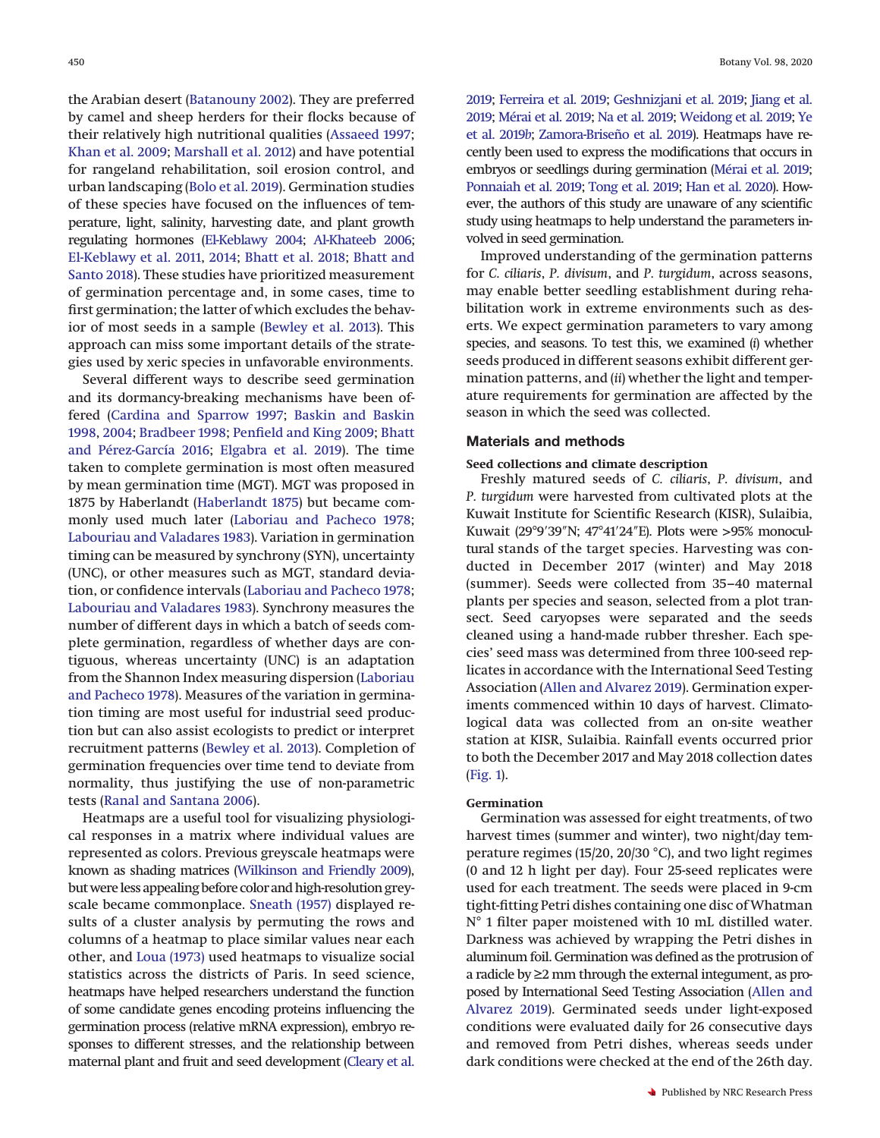the Arabian desert [\(Batanouny 2002\)](#page-7-3). They are preferred by camel and sheep herders for their flocks because of their relatively high nutritional qualities [\(Assaeed 1997;](#page-7-4) [Khan et al. 2009;](#page-8-7) [Marshall et al. 2012\)](#page-8-8) and have potential for rangeland rehabilitation, soil erosion control, and urban landscaping [\(Bolo et al. 2019\)](#page-7-5). Germination studies of these species have focused on the influences of temperature, light, salinity, harvesting date, and plant growth regulating hormones [\(El-Keblawy 2004;](#page-7-6) [Al-Khateeb 2006;](#page-7-7) [El-Keblawy et al. 2011,](#page-7-8) [2014;](#page-7-9) [Bhatt et al. 2018;](#page-7-10) [Bhatt and](#page-7-11) [Santo 2018\)](#page-7-11). These studies have prioritized measurement of germination percentage and, in some cases, time to first germination; the latter of which excludes the behavior of most seeds in a sample [\(Bewley et al. 2013\)](#page-7-12). This approach can miss some important details of the strategies used by xeric species in unfavorable environments.

Several different ways to describe seed germination and its dormancy-breaking mechanisms have been offered [\(Cardina and Sparrow 1997;](#page-7-13) [Baskin and Baskin](#page-7-14) [1998,](#page-7-14) [2004;](#page-7-15) [Bradbeer 1998;](#page-7-16) [Penfield and King 2009;](#page-8-9) [Bhatt](#page-7-17) [and Pérez-García 2016;](#page-7-17) [Elgabra et al. 2019\)](#page-7-18). The time taken to complete germination is most often measured by mean germination time (MGT). MGT was proposed in 1875 by Haberlandt [\(Haberlandt 1875\)](#page-8-10) but became commonly used much later [\(Laboriau and Pacheco 1978;](#page-8-11) [Labouriau and Valadares 1983\)](#page-8-12). Variation in germination timing can be measured by synchrony (SYN), uncertainty (UNC), or other measures such as MGT, standard deviation, or confidence intervals [\(Laboriau and Pacheco 1978;](#page-8-11) [Labouriau and Valadares 1983\)](#page-8-12). Synchrony measures the number of different days in which a batch of seeds complete germination, regardless of whether days are contiguous, whereas uncertainty (UNC) is an adaptation from the Shannon Index measuring dispersion [\(Laboriau](#page-8-11) [and Pacheco 1978\)](#page-8-11). Measures of the variation in germination timing are most useful for industrial seed production but can also assist ecologists to predict or interpret recruitment patterns [\(Bewley et al. 2013\)](#page-7-12). Completion of germination frequencies over time tend to deviate from normality, thus justifying the use of non-parametric tests [\(Ranal and Santana 2006\)](#page-8-13).

Heatmaps are a useful tool for visualizing physiological responses in a matrix where individual values are represented as colors. Previous greyscale heatmaps were known as shading matrices [\(Wilkinson and Friendly 2009\)](#page-9-1), but were less appealing before color and high-resolution greyscale became commonplace. [Sneath \(1957\)](#page-9-2) displayed results of a cluster analysis by permuting the rows and columns of a heatmap to place similar values near each other, and [Loua \(1973\)](#page-8-14) used heatmaps to visualize social statistics across the districts of Paris. In seed science, heatmaps have helped researchers understand the function of some candidate genes encoding proteins influencing the germination process (relative mRNA expression), embryo responses to different stresses, and the relationship between maternal plant and fruit and seed development [\(Cleary et al.](#page-7-19)

[2019;](#page-7-19) [Ferreira et al. 2019;](#page-8-15) [Geshnizjani et al. 2019;](#page-8-16) [Jiang et al.](#page-8-17) [2019;](#page-8-17) [Mérai et al. 2019;](#page-8-18) [Na et al. 2019;](#page-8-19) [Weidong et al. 2019;](#page-9-3) [Ye](#page-9-4) [et al. 2019](#page-9-4)*b*; [Zamora-Briseño et al. 2019\)](#page-9-5). Heatmaps have recently been used to express the modifications that occurs in embryos or seedlings during germination [\(Mérai et al. 2019;](#page-8-18) [Ponnaiah et al. 2019;](#page-8-20) [Tong et al. 2019;](#page-9-6) [Han et al. 2020\)](#page-8-21). However, the authors of this study are unaware of any scientific study using heatmaps to help understand the parameters involved in seed germination.

Improved understanding of the germination patterns for *C. ciliaris*, *P. divisum*, and *P. turgidum*, across seasons, may enable better seedling establishment during rehabilitation work in extreme environments such as deserts. We expect germination parameters to vary among species, and seasons. To test this, we examined (*i*) whether seeds produced in different seasons exhibit different germination patterns, and (*ii*) whether the light and temperature requirements for germination are affected by the season in which the seed was collected.

## **Materials and methods**

## **Seed collections and climate description**

Freshly matured seeds of *C. ciliaris*, *P. divisum*, and *P. turgidum* were harvested from cultivated plots at the Kuwait Institute for Scientific Research (KISR), Sulaibia, Kuwait (29°9'39"N; 47°41'24"E). Plots were >95% monocultural stands of the target species. Harvesting was conducted in December 2017 (winter) and May 2018 (summer). Seeds were collected from 35–40 maternal plants per species and season, selected from a plot transect. Seed caryopses were separated and the seeds cleaned using a hand-made rubber thresher. Each species' seed mass was determined from three 100-seed replicates in accordance with the International Seed Testing Association [\(Allen and Alvarez 2019\)](#page-7-20). Germination experiments commenced within 10 days of harvest. Climatological data was collected from an on-site weather station at KISR, Sulaibia. Rainfall events occurred prior to both the December 2017 and May 2018 collection dates [\(Fig. 1\)](#page-2-0).

#### **Germination**

Germination was assessed for eight treatments, of two harvest times (summer and winter), two night/day temperature regimes (15/20, 20/30 °C), and two light regimes (0 and 12 h light per day). Four 25-seed replicates were used for each treatment. The seeds were placed in 9-cm tight-fitting Petri dishes containing one disc of Whatman N° 1 filter paper moistened with 10 mL distilled water. Darkness was achieved by wrapping the Petri dishes in aluminum foil. Germination was defined as the protrusion of a radicle by ≥2 mm through the external integument, as proposed by International Seed Testing Association [\(Allen and](#page-7-20) [Alvarez 2019\)](#page-7-20). Germinated seeds under light-exposed conditions were evaluated daily for 26 consecutive days and removed from Petri dishes, whereas seeds under dark conditions were checked at the end of the 26th day.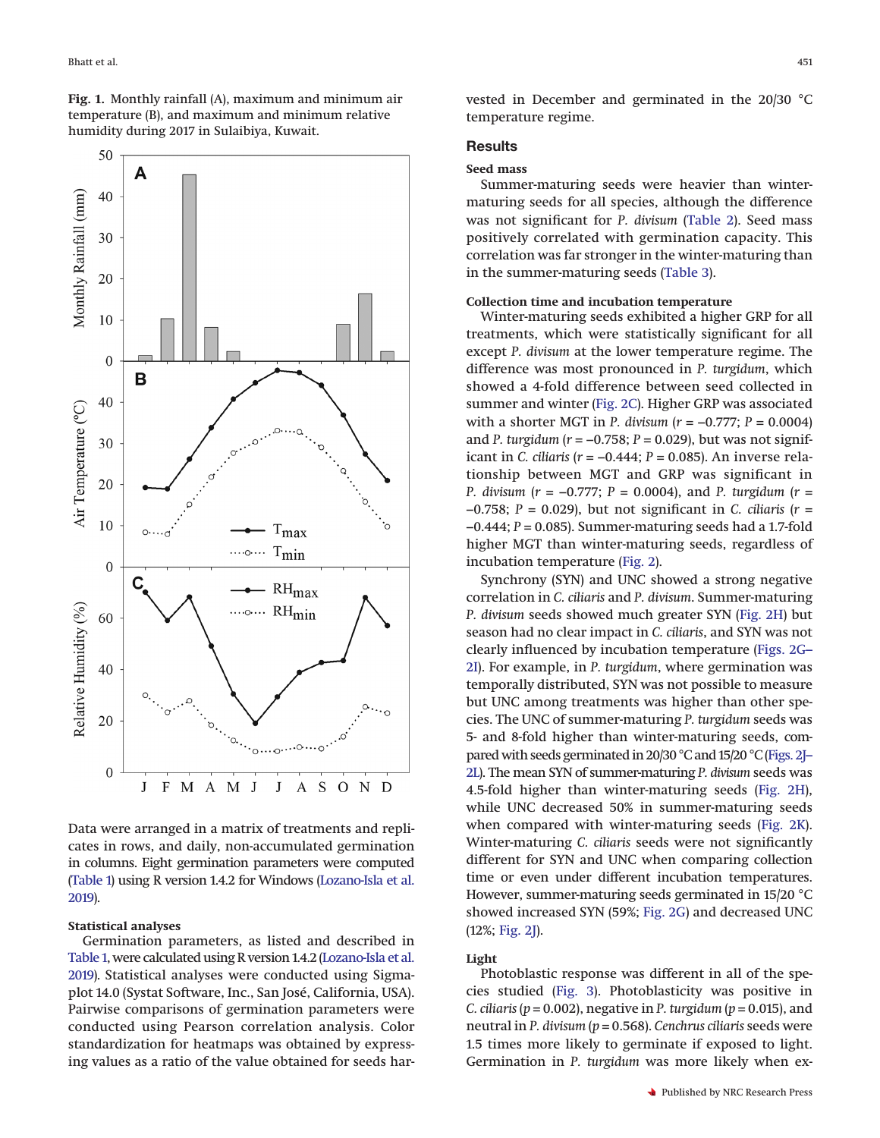<span id="page-2-0"></span>**Fig. 1.** Monthly rainfall (A), maximum and minimum air temperature (B), and maximum and minimum relative humidity during 2017 in Sulaibiya, Kuwait.



Data were arranged in a matrix of treatments and replicates in rows, and daily, non-accumulated germination in columns. Eight germination parameters were computed [\(Table 1\)](#page-3-0) using R version 1.4.2 for Windows [\(Lozano-Isla et al.](#page-8-22) [2019\)](#page-8-22).

## **Statistical analyses**

Germination parameters, as listed and described in [Table 1,](#page-3-0) were calculated using R version 1.4.2 [\(Lozano-Isla et al.](#page-8-22) [2019\)](#page-8-22). Statistical analyses were conducted using Sigmaplot 14.0 (Systat Software, Inc., San José, California, USA). Pairwise comparisons of germination parameters were conducted using Pearson correlation analysis. Color standardization for heatmaps was obtained by expressing values as a ratio of the value obtained for seeds harvested in December and germinated in the 20/30 °C temperature regime.

## **Results**

## **Seed mass**

Summer-maturing seeds were heavier than wintermaturing seeds for all species, although the difference was not significant for *P. divisum* [\(Table 2\)](#page-3-1). Seed mass positively correlated with germination capacity. This correlation was far stronger in the winter-maturing than in the summer-maturing seeds [\(Table 3\)](#page-4-0).

#### **Collection time and incubation temperature**

Winter-maturing seeds exhibited a higher GRP for all treatments, which were statistically significant for all except *P. divisum* at the lower temperature regime. The difference was most pronounced in *P. turgidum*, which showed a 4-fold difference between seed collected in summer and winter [\(Fig. 2C\)](#page-4-1). Higher GRP was associated with a shorter MGT in *P. divisum* (*r* = −0.777; *P* = 0.0004) and *P. turgidum* (*r* = −0.758; *P* = 0.029), but was not significant in *C. ciliaris* (*r* = −0.444; *P* = 0.085). An inverse relationship between MGT and GRP was significant in *P. divisum* (*r* = −0.777; *P* = 0.0004), and *P. turgidum* (*r* = −0.758; *P* = 0.029), but not significant in *C. ciliaris* (*r* = −0.444; *P* = 0.085). Summer-maturing seeds had a 1.7-fold higher MGT than winter-maturing seeds, regardless of incubation temperature [\(Fig. 2\)](#page-4-1).

Synchrony (SYN) and UNC showed a strong negative correlation in *C. ciliaris* and *P. divisum*. Summer-maturing *P. divisum* seeds showed much greater SYN [\(Fig. 2H\)](#page-4-1) but season had no clear impact in *C. ciliaris*, and SYN was not clearly influenced by incubation temperature [\(Figs. 2G–](#page-4-1) [2I\)](#page-4-1). For example, in *P. turgidum*, where germination was temporally distributed, SYN was not possible to measure but UNC among treatments was higher than other species. The UNC of summer-maturing *P. turgidum* seeds was 5- and 8-fold higher than winter-maturing seeds, compared with seeds germinated in 20/30 °C and 15/20 °C [\(Figs. 2J–](#page-4-1) [2L\)](#page-4-1). The mean SYN of summer-maturing *P. divisum* seeds was 4.5-fold higher than winter-maturing seeds [\(Fig. 2H\)](#page-4-1), while UNC decreased 50% in summer-maturing seeds when compared with winter-maturing seeds [\(Fig. 2K\)](#page-4-1). Winter-maturing *C. ciliaris* seeds were not significantly different for SYN and UNC when comparing collection time or even under different incubation temperatures. However, summer-maturing seeds germinated in 15/20 °C showed increased SYN (59%; [Fig. 2G\)](#page-4-1) and decreased UNC (12%; [Fig. 2J\)](#page-4-1).

#### **Light**

Photoblastic response was different in all of the species studied [\(Fig. 3\)](#page-5-0). Photoblasticity was positive in *C. ciliaris* ( $p = 0.002$ ), negative in *P. turgidum* ( $p = 0.015$ ), and neutral in *P. divisum* (*p* = 0.568). *Cenchrus ciliaris* seeds were 1.5 times more likely to germinate if exposed to light. Germination in *P. turgidum* was more likely when ex-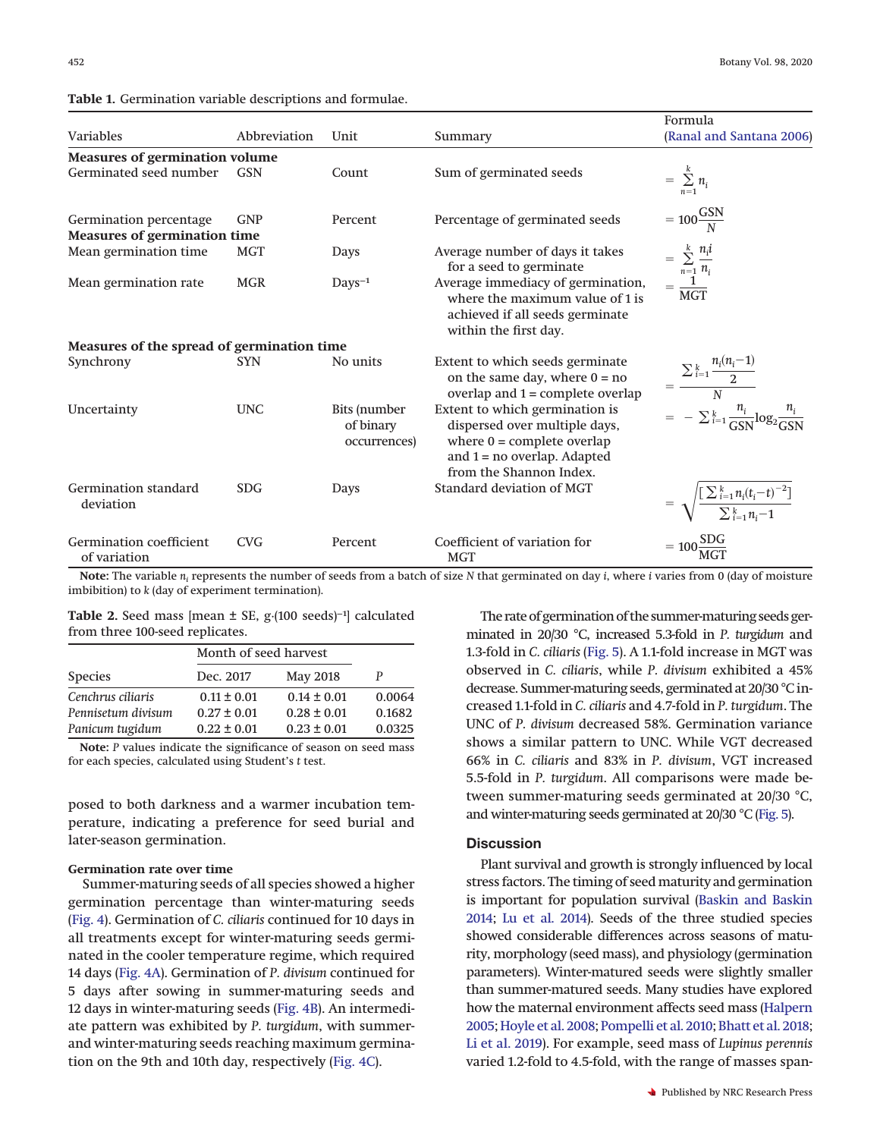|                                                               |              |                                                  |                                                                                                                                                             | Formula                                                                                                         |
|---------------------------------------------------------------|--------------|--------------------------------------------------|-------------------------------------------------------------------------------------------------------------------------------------------------------------|-----------------------------------------------------------------------------------------------------------------|
| <b>Variables</b>                                              | Abbreviation | Unit                                             | Summary                                                                                                                                                     | (Ranal and Santana 2006)                                                                                        |
| <b>Measures of germination volume</b>                         |              |                                                  |                                                                                                                                                             |                                                                                                                 |
| Germinated seed number                                        | <b>GSN</b>   | Count                                            | Sum of germinated seeds                                                                                                                                     | $= \sum_{n=1}^k n_i$                                                                                            |
| Germination percentage<br><b>Measures of germination time</b> | <b>GNP</b>   | Percent                                          | Percentage of germinated seeds                                                                                                                              | $=100\frac{GSN}{N}$                                                                                             |
| Mean germination time                                         | <b>MGT</b>   | Days                                             | Average number of days it takes<br>for a seed to germinate                                                                                                  |                                                                                                                 |
| Mean germination rate                                         | <b>MGR</b>   | $DayS^{-1}$                                      | Average immediacy of germination,<br>where the maximum value of 1 is<br>achieved if all seeds germinate<br>within the first day.                            | $= \sum_{n=1}^{k} \frac{n_i i}{n_i}$ $= \frac{1}{\text{MGT}}$                                                   |
| Measures of the spread of germination time                    |              |                                                  |                                                                                                                                                             |                                                                                                                 |
| Synchrony                                                     | <b>SYN</b>   | No units                                         | Extent to which seeds germinate<br>on the same day, where $0 = no$<br>overlap and $1 =$ complete overlap                                                    | $= \frac{\sum_{i=1}^{k} \frac{n_i(n_i-1)}{2}}{N}$<br>= $-\sum_{i=1}^{k} \frac{n_i}{GSN} \log_2 \frac{n_i}{GSN}$ |
| Uncertainty                                                   | <b>UNC</b>   | <b>Bits</b> (number<br>of binary<br>occurrences) | Extent to which germination is<br>dispersed over multiple days,<br>where $0 =$ complete overlap<br>and $1 = no$ overlap. Adapted<br>from the Shannon Index. |                                                                                                                 |
| <b>Germination standard</b><br>deviation                      | <b>SDG</b>   | Days                                             | <b>Standard deviation of MGT</b>                                                                                                                            | $= \sqrt{\frac{\left[\sum_{i=1}^{k} n_i(t_i-t)^{-2}\right]}{\sum_{i=1}^{k} n_i - 1}}$                           |
| Germination coefficient<br>of variation                       | <b>CVG</b>   | Percent                                          | Coefficient of variation for<br><b>MGT</b>                                                                                                                  | $=100\frac{\text{SDG}}{\text{MGT}}$                                                                             |

<span id="page-3-0"></span>**Table 1.** Germination variable descriptions and formulae.

**Note:** The variable *ni* represents the number of seeds from a batch of size *N* that germinated on day *i*, where *i* varies from 0 (day of moisture imbibition) to *k* (day of experiment termination).

<span id="page-3-1"></span>Table 2. Seed mass [mean ± SE, g·(100 seeds)<sup>-1</sup>] calculated from three 100-seed replicates.

|                    | Month of seed harvest |                 |        |  |
|--------------------|-----------------------|-----------------|--------|--|
| <b>Species</b>     | Dec. 2017             | May 2018        | P      |  |
| Cenchrus ciliaris  | $0.11 \pm 0.01$       | $0.14 \pm 0.01$ | 0.0064 |  |
| Pennisetum divisum | $0.27 \pm 0.01$       | $0.28 \pm 0.01$ | 0.1682 |  |
| Panicum tugidum    | $0.22 \pm 0.01$       | $0.23 \pm 0.01$ | 0.0325 |  |

**Note:** *P* values indicate the significance of season on seed mass for each species, calculated using Student's *t* test.

posed to both darkness and a warmer incubation temperature, indicating a preference for seed burial and later-season germination.

## **Germination rate over time**

Summer-maturing seeds of all species showed a higher germination percentage than winter-maturing seeds [\(Fig. 4\)](#page-5-1). Germination of *C. ciliaris* continued for 10 days in all treatments except for winter-maturing seeds germinated in the cooler temperature regime, which required 14 days [\(Fig. 4A\)](#page-5-1). Germination of *P. divisum* continued for 5 days after sowing in summer-maturing seeds and 12 days in winter-maturing seeds [\(Fig. 4B\)](#page-5-1). An intermediate pattern was exhibited by *P. turgidum*, with summerand winter-maturing seeds reaching maximum germination on the 9th and 10th day, respectively [\(Fig. 4C\)](#page-5-1).

The rate of germination of the summer-maturing seeds germinated in 20/30 °C, increased 5.3-fold in *P. turgidum* and 1.3-fold in *C. ciliaris* [\(Fig. 5\)](#page-5-2). A 1.1-fold increase in MGT was observed in *C. ciliaris*, while *P. divisum* exhibited a 45% decrease. Summer-maturing seeds, germinated at 20/30 °C increased 1.1-fold in *C. ciliaris* and 4.7-fold in *P. turgidum*. The UNC of *P. divisum* decreased 58%. Germination variance shows a similar pattern to UNC. While VGT decreased 66% in *C. ciliaris* and 83% in *P. divisum*, VGT increased 5.5-fold in *P. turgidum*. All comparisons were made between summer-maturing seeds germinated at 20/30 °C, and winter-maturing seeds germinated at 20/30 °C [\(Fig. 5\)](#page-5-2).

### **Discussion**

Plant survival and growth is strongly influenced by local stress factors. The timing of seed maturity and germination is important for population survival [\(Baskin and Baskin](#page-7-1) [2014;](#page-7-1) [Lu et al. 2014\)](#page-8-23). Seeds of the three studied species showed considerable differences across seasons of maturity, morphology (seed mass), and physiology (germination parameters). Winter-matured seeds were slightly smaller than summer-matured seeds. Many studies have explored how the maternal environment affects seed mass [\(Halpern](#page-8-24) [2005;](#page-8-24) [Hoyle et al. 2008;](#page-8-25) [Pompelli et al. 2010;](#page-8-26) [Bhatt et al. 2018;](#page-7-10) [Li et al. 2019\)](#page-8-27). For example, seed mass of *Lupinus perennis* varied 1.2-fold to 4.5-fold, with the range of masses span-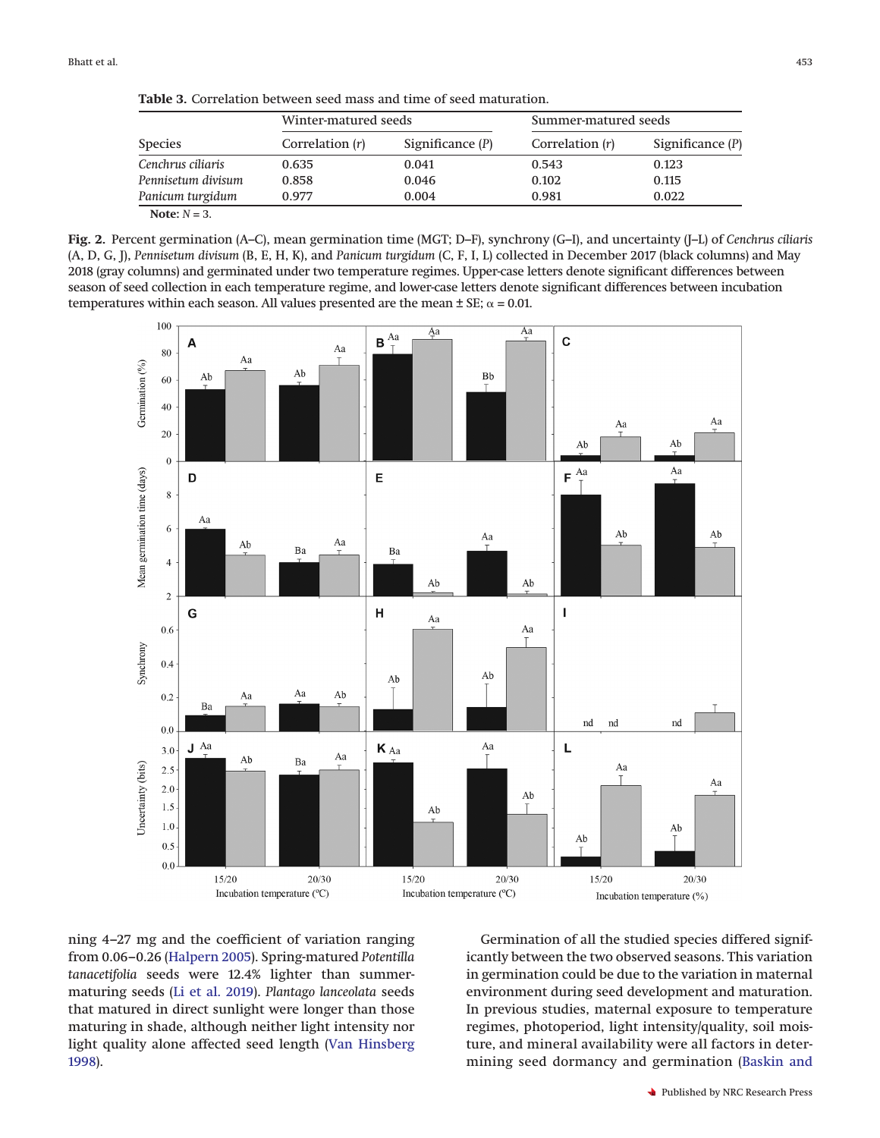<span id="page-4-0"></span>**Table 3.** Correlation between seed mass and time of seed maturation.

| <b>Species</b>     | Winter-matured seeds     |                    | Summer-matured seeds |                    |
|--------------------|--------------------------|--------------------|----------------------|--------------------|
|                    | Correlation ( <i>r</i> ) | Significance $(P)$ | Correlation (r)      | Significance $(P)$ |
| Cenchrus ciliaris  | 0.635                    | 0.041              | 0.543                | 0.123              |
| Pennisetum divisum | 0.858                    | 0.046              | 0.102                | 0.115              |
| Panicum turgidum   | 0.977                    | 0.004              | 0.981                | 0.022              |
| Note: $N = 3$ .    |                          |                    |                      |                    |

<span id="page-4-1"></span>**Fig. 2.** Percent germination (A–C), mean germination time (MGT; D–F), synchrony (G–I), and uncertainty (J–L) of *Cenchrus ciliaris* (A, D, G, J), *Pennisetum divisum* (B, E, H, K), and *Panicum turgidum* (C, F, I, L) collected in December 2017 (black columns) and May 2018 (gray columns) and germinated under two temperature regimes. Upper-case letters denote significant differences between season of seed collection in each temperature regime, and lower-case letters denote significant differences between incubation temperatures within each season. All values presented are the mean  $\pm$  SE;  $\alpha$  = 0.01.



ning 4–27 mg and the coefficient of variation ranging from 0.06–0.26 [\(Halpern 2005\)](#page-8-24). Spring-matured *Potentilla tanacetifolia* seeds were 12.4% lighter than summermaturing seeds [\(Li et al. 2019\)](#page-8-27). *Plantago lanceolata* seeds that matured in direct sunlight were longer than those maturing in shade, although neither light intensity nor light quality alone affected seed length [\(Van Hinsberg](#page-9-7) [1998\)](#page-9-7).

Germination of all the studied species differed significantly between the two observed seasons. This variation in germination could be due to the variation in maternal environment during seed development and maturation. In previous studies, maternal exposure to temperature regimes, photoperiod, light intensity/quality, soil moisture, and mineral availability were all factors in determining seed dormancy and germination [\(Baskin and](#page-7-14)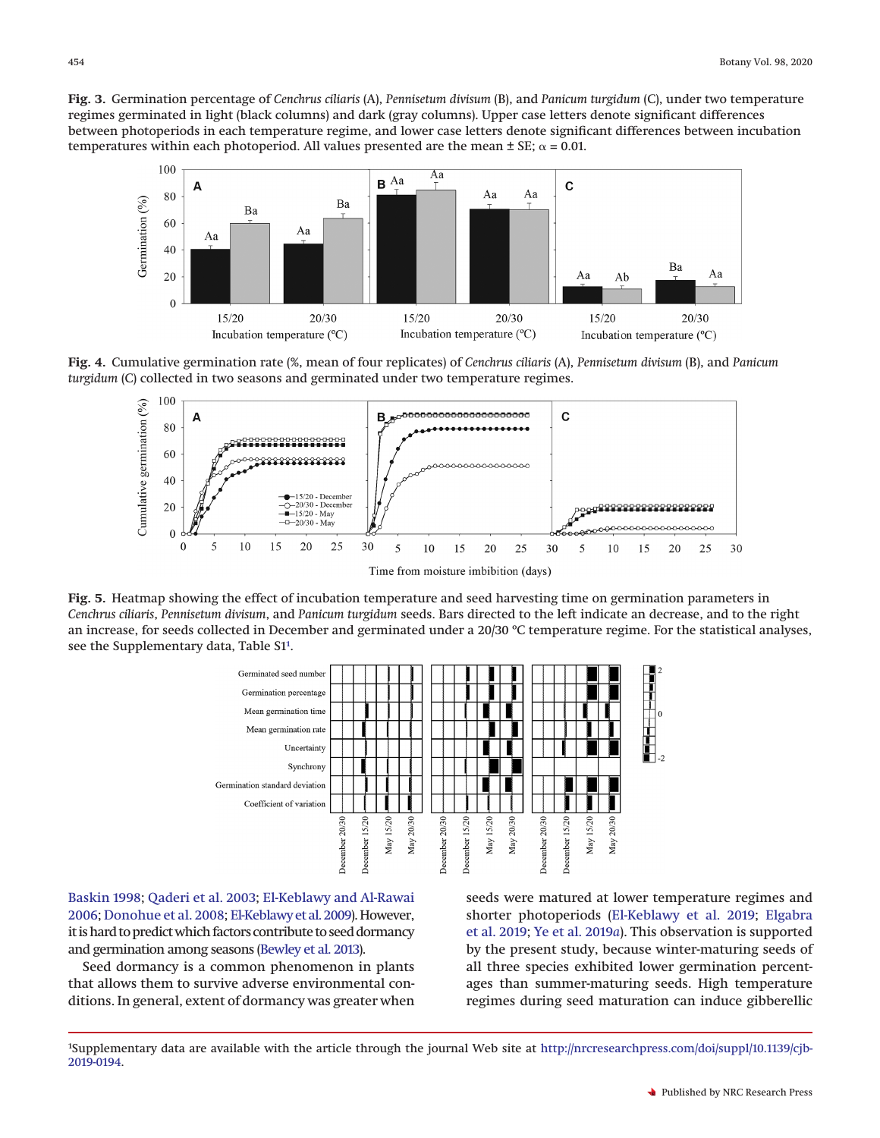<span id="page-5-0"></span>**Fig. 3.** Germination percentage of *Cenchrus ciliaris* (A), *Pennisetum divisum* (B), and *Panicum turgidum* (C), under two temperature regimes germinated in light (black columns) and dark (gray columns). Upper case letters denote significant differences between photoperiods in each temperature regime, and lower case letters denote significant differences between incubation temperatures within each photoperiod. All values presented are the mean  $\pm$  SE;  $\alpha$  = 0.01.



<span id="page-5-1"></span>**Fig. 4.** Cumulative germination rate (%, mean of four replicates) of *Cenchrus ciliaris* (A), *Pennisetum divisum* (B), and *Panicum turgidum* (C) collected in two seasons and germinated under two temperature regimes.



<span id="page-5-2"></span>**Fig. 5.** Heatmap showing the effect of incubation temperature and seed harvesting time on germination parameters in *Cenchrus ciliaris*, *Pennisetum divisum*, and *Panicum turgidum* seeds. Bars directed to the left indicate an decrease, and to the right an increase, for seeds collected in December and germinated under a 20/30 ºC temperature regime. For the statistical analyses, see the Supplementary data, Table S1<sup>1</sup>.



[Baskin 1998;](#page-7-14) [Qaderi et al. 2003;](#page-8-28) [El-Keblawy and Al-Rawai](#page-7-21) [2006;](#page-7-21) [Donohue et al. 2008;](#page-7-22) [El-Keblawy et al. 2009\)](#page-7-23). However, it is hard to predict which factors contribute to seed dormancy and germination among seasons [\(Bewley et al. 2013\)](#page-7-12).

Seed dormancy is a common phenomenon in plants that allows them to survive adverse environmental conditions. In general, extent of dormancy was greater when seeds were matured at lower temperature regimes and shorter photoperiods [\(El-Keblawy et al. 2019;](#page-7-24) [Elgabra](#page-7-18) [et al. 2019;](#page-7-18) [Ye et al. 2019](#page-9-8)*a*). This observation is supported by the present study, because winter-maturing seeds of all three species exhibited lower germination percentages than summer-maturing seeds. High temperature regimes during seed maturation can induce gibberellic

<span id="page-5-3"></span><sup>1</sup> Supplementary data are available with the article through the journal Web site at http://nrcresearchpress.com/doi/suppl/10.1139/cjb-2019-0194.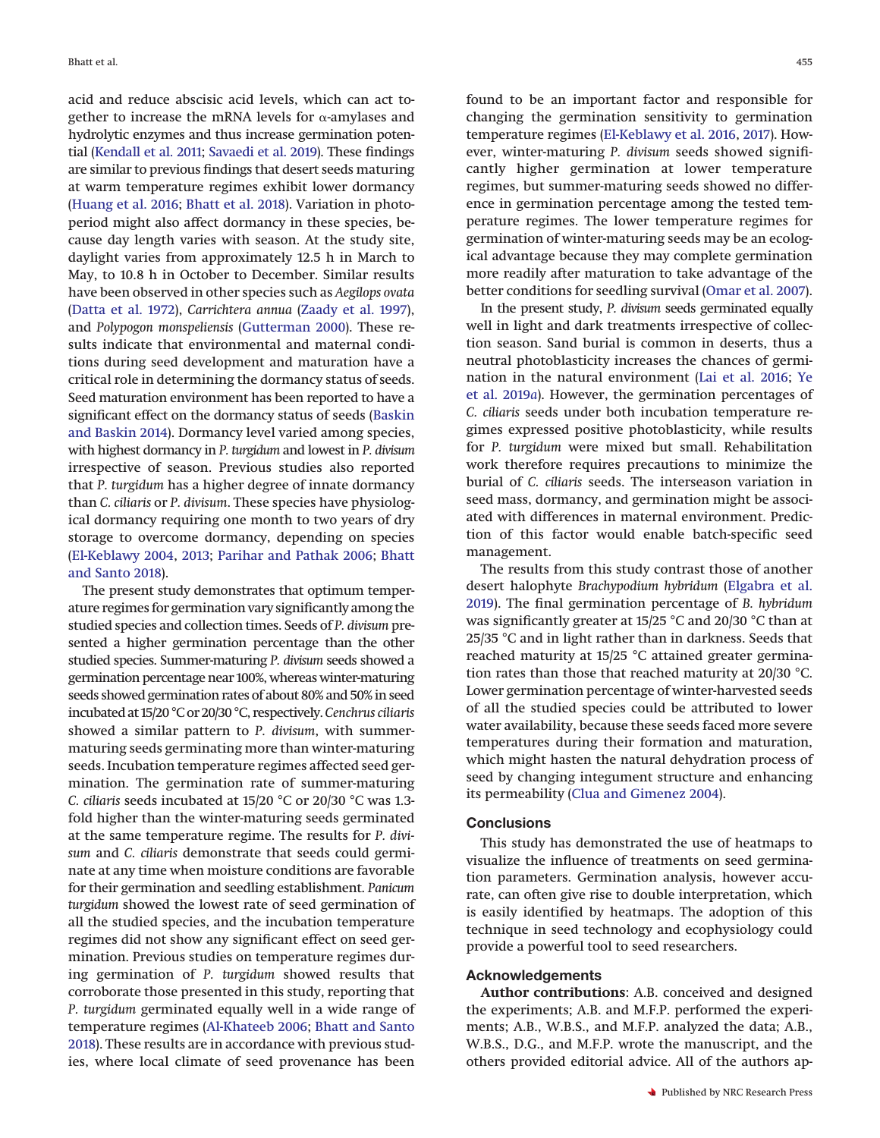acid and reduce abscisic acid levels, which can act together to increase the mRNA levels for  $\alpha$ -amylases and hydrolytic enzymes and thus increase germination potential [\(Kendall et al. 2011;](#page-8-29) [Savaedi et al. 2019\)](#page-9-9). These findings are similar to previous findings that desert seeds maturing at warm temperature regimes exhibit lower dormancy [\(Huang et al. 2016;](#page-8-1) [Bhatt et al. 2018\)](#page-7-10). Variation in photoperiod might also affect dormancy in these species, because day length varies with season. At the study site, daylight varies from approximately 12.5 h in March to May, to 10.8 h in October to December. Similar results have been observed in other species such as *Aegilops ovata* [\(Datta et al. 1972\)](#page-7-25), *Carrichtera annua* [\(Zaady et al. 1997\)](#page-9-10), and *Polypogon monspeliensis* [\(Gutterman 2000\)](#page-8-3). These results indicate that environmental and maternal conditions during seed development and maturation have a critical role in determining the dormancy status of seeds. Seed maturation environment has been reported to have a significant effect on the dormancy status of seeds [\(Baskin](#page-7-1) [and Baskin 2014\)](#page-7-1). Dormancy level varied among species, with highest dormancy in *P. turgidum* and lowest in *P. divisum* irrespective of season. Previous studies also reported that *P. turgidum* has a higher degree of innate dormancy than *C. ciliaris* or *P. divisum*. These species have physiological dormancy requiring one month to two years of dry storage to overcome dormancy, depending on species [\(El-Keblawy 2004,](#page-7-6) [2013;](#page-7-26) [Parihar and Pathak 2006;](#page-8-30) [Bhatt](#page-7-11) [and Santo 2018\)](#page-7-11).

The present study demonstrates that optimum temperature regimes for germination vary significantly among the studied species and collection times. Seeds of *P. divisum* presented a higher germination percentage than the other studied species. Summer-maturing *P. divisum* seeds showed a germination percentage near 100%, whereas winter-maturing seeds showed germination rates of about 80% and 50% in seed incubated at 15/20 °C or 20/30 °C, respectively.*Cenchrus ciliaris* showed a similar pattern to *P. divisum*, with summermaturing seeds germinating more than winter-maturing seeds. Incubation temperature regimes affected seed germination. The germination rate of summer-maturing *C. ciliaris* seeds incubated at 15/20 °C or 20/30 °C was 1.3 fold higher than the winter-maturing seeds germinated at the same temperature regime. The results for *P. divisum* and *C. ciliaris* demonstrate that seeds could germinate at any time when moisture conditions are favorable for their germination and seedling establishment. *Panicum turgidum* showed the lowest rate of seed germination of all the studied species, and the incubation temperature regimes did not show any significant effect on seed germination. Previous studies on temperature regimes during germination of *P. turgidum* showed results that corroborate those presented in this study, reporting that *P. turgidum* germinated equally well in a wide range of temperature regimes [\(Al-Khateeb 2006;](#page-7-7) [Bhatt and Santo](#page-7-11) [2018\)](#page-7-11). These results are in accordance with previous studies, where local climate of seed provenance has been

found to be an important factor and responsible for changing the germination sensitivity to germination temperature regimes [\(El-Keblawy et al. 2016,](#page-7-27) [2017\)](#page-7-28). However, winter-maturing *P. divisum* seeds showed significantly higher germination at lower temperature regimes, but summer-maturing seeds showed no difference in germination percentage among the tested temperature regimes. The lower temperature regimes for germination of winter-maturing seeds may be an ecological advantage because they may complete germination more readily after maturation to take advantage of the better conditions for seedling survival [\(Omar et al. 2007\)](#page-8-31).

In the present study, *P. divisum* seeds germinated equally well in light and dark treatments irrespective of collection season. Sand burial is common in deserts, thus a neutral photoblasticity increases the chances of germination in the natural environment [\(Lai et al. 2016;](#page-8-32) [Ye](#page-9-8) [et al. 2019](#page-9-8)*a*). However, the germination percentages of *C. ciliaris* seeds under both incubation temperature regimes expressed positive photoblasticity, while results for *P. turgidum* were mixed but small. Rehabilitation work therefore requires precautions to minimize the burial of *C. ciliaris* seeds. The interseason variation in seed mass, dormancy, and germination might be associated with differences in maternal environment. Prediction of this factor would enable batch-specific seed management.

The results from this study contrast those of another desert halophyte *Brachypodium hybridum* [\(Elgabra et al.](#page-7-18) [2019\)](#page-7-18). The final germination percentage of *B. hybridum* was significantly greater at 15/25 °C and 20/30 °C than at 25/35 °C and in light rather than in darkness. Seeds that reached maturity at 15/25 °C attained greater germination rates than those that reached maturity at 20/30 °C. Lower germination percentage of winter-harvested seeds of all the studied species could be attributed to lower water availability, because these seeds faced more severe temperatures during their formation and maturation, which might hasten the natural dehydration process of seed by changing integument structure and enhancing its permeability [\(Clua and Gimenez 2004\)](#page-7-29).

## **Conclusions**

This study has demonstrated the use of heatmaps to visualize the influence of treatments on seed germination parameters. Germination analysis, however accurate, can often give rise to double interpretation, which is easily identified by heatmaps. The adoption of this technique in seed technology and ecophysiology could provide a powerful tool to seed researchers.

## **Acknowledgements**

**Author contributions**: A.B. conceived and designed the experiments; A.B. and M.F.P. performed the experiments; A.B., W.B.S., and M.F.P. analyzed the data; A.B., W.B.S., D.G., and M.F.P. wrote the manuscript, and the others provided editorial advice. All of the authors ap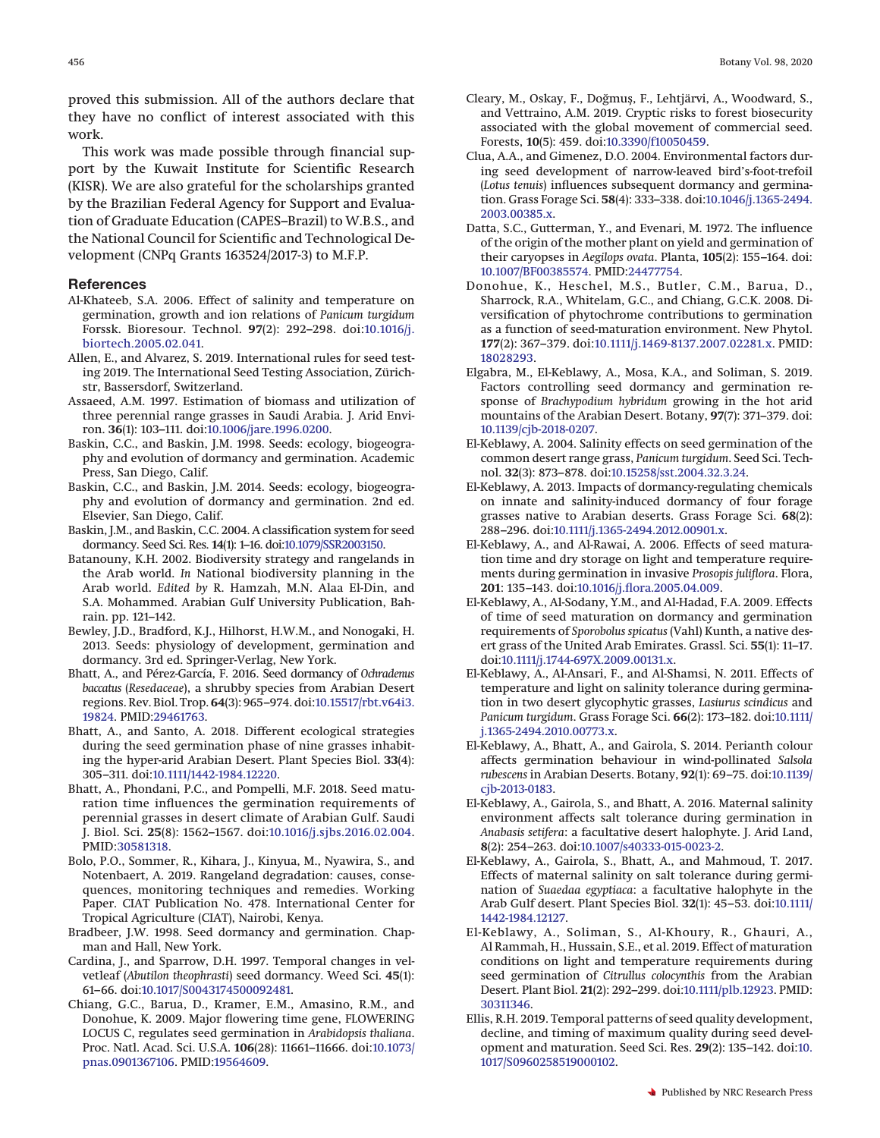proved this submission. All of the authors declare that they have no conflict of interest associated with this work.

This work was made possible through financial support by the Kuwait Institute for Scientific Research (KISR). We are also grateful for the scholarships granted by the Brazilian Federal Agency for Support and Evaluation of Graduate Education (CAPES–Brazil) to W.B.S., and the National Council for Scientific and Technological Development (CNPq Grants 163524/2017-3) to M.F.P.

## **References**

- <span id="page-7-7"></span>Al-Khateeb, S.A. 2006. Effect of salinity and temperature on germination, growth and ion relations of *Panicum turgidum* Forssk. Bioresour. Technol. **97**(2): 292–298. doi:10.1016/j. biortech.2005.02.041.
- <span id="page-7-20"></span>Allen, E., and Alvarez, S. 2019. International rules for seed testing 2019. The International Seed Testing Association, Zürichstr, Bassersdorf, Switzerland.
- <span id="page-7-4"></span>Assaeed, A.M. 1997. Estimation of biomass and utilization of three perennial range grasses in Saudi Arabia. J. Arid Environ. **36**(1): 103–111. doi:10.1006/jare.1996.0200.
- <span id="page-7-14"></span>Baskin, C.C., and Baskin, J.M. 1998. Seeds: ecology, biogeography and evolution of dormancy and germination. Academic Press, San Diego, Calif.
- <span id="page-7-1"></span>Baskin, C.C., and Baskin, J.M. 2014. Seeds: ecology, biogeography and evolution of dormancy and germination. 2nd ed. Elsevier, San Diego, Calif.
- <span id="page-7-15"></span>Baskin, J.M., and Baskin, C.C. 2004. A classification system for seed dormancy. Seed Sci. Res. **14**(1): 1–16. doi:10.1079/SSR2003150.
- <span id="page-7-3"></span>Batanouny, K.H. 2002. Biodiversity strategy and rangelands in the Arab world. *In* National biodiversity planning in the Arab world. *Edited by* R. Hamzah, M.N. Alaa El-Din, and S.A. Mohammed. Arabian Gulf University Publication, Bahrain. pp. 121–142.
- <span id="page-7-12"></span>Bewley, J.D., Bradford, K.J., Hilhorst, H.W.M., and Nonogaki, H. 2013. Seeds: physiology of development, germination and dormancy. 3rd ed. Springer-Verlag, New York.
- <span id="page-7-17"></span>Bhatt, A., and Pérez-García, F. 2016. Seed dormancy of *Ochradenus baccatus* (*Resedaceae*), a shrubby species from Arabian Desert regions. Rev. Biol. Trop. **64**(3): 965–974. doi:10.15517/rbt.v64i3. 19824. PMID:29461763.
- <span id="page-7-11"></span>Bhatt, A., and Santo, A. 2018. Different ecological strategies during the seed germination phase of nine grasses inhabiting the hyper-arid Arabian Desert. Plant Species Biol. **33**(4): 305–311. doi:10.1111/1442-1984.12220.
- <span id="page-7-10"></span>Bhatt, A., Phondani, P.C., and Pompelli, M.F. 2018. Seed maturation time influences the germination requirements of perennial grasses in desert climate of Arabian Gulf. Saudi J. Biol. Sci. **25**(8): 1562–1567. doi:10.1016/j.sjbs.2016.02.004. PMID:30581318.
- <span id="page-7-5"></span>Bolo, P.O., Sommer, R., Kihara, J., Kinyua, M., Nyawira, S., and Notenbaert, A. 2019. Rangeland degradation: causes, consequences, monitoring techniques and remedies. Working Paper. CIAT Publication No. 478. International Center for Tropical Agriculture (CIAT), Nairobi, Kenya.
- <span id="page-7-16"></span>Bradbeer, J.W. 1998. Seed dormancy and germination. Chapman and Hall, New York.
- <span id="page-7-13"></span>Cardina, J., and Sparrow, D.H. 1997. Temporal changes in velvetleaf (*Abutilon theophrasti*) seed dormancy. Weed Sci. **45**(1): 61–66. doi:10.1017/S0043174500092481.
- <span id="page-7-0"></span>Chiang, G.C., Barua, D., Kramer, E.M., Amasino, R.M., and Donohue, K. 2009. Major flowering time gene, FLOWERING LOCUS C, regulates seed germination in *Arabidopsis thaliana*. Proc. Natl. Acad. Sci. U.S.A. **106**(28): 11661–11666. doi:10.1073/ pnas.0901367106. PMID:19564609.
- <span id="page-7-19"></span>Cleary, M., Oskay, F., Doğmus, F., Lehtjärvi, A., Woodward, S., and Vettraino, A.M. 2019. Cryptic risks to forest biosecurity associated with the global movement of commercial seed. Forests, **10**(5): 459. doi:10.3390/f10050459.
- <span id="page-7-29"></span>Clua, A.A., and Gimenez, D.O. 2004. Environmental factors during seed development of narrow-leaved bird's-foot-trefoil (*Lotus tenuis*) influences subsequent dormancy and germination. Grass Forage Sci. **58**(4): 333–338. doi:10.1046/j.1365-2494. 2003.00385.x.
- <span id="page-7-25"></span>Datta, S.C., Gutterman, Y., and Evenari, M. 1972. The influence of the origin of the mother plant on yield and germination of their caryopses in *Aegilops ovata*. Planta, **105**(2): 155–164. doi: 10.1007/BF00385574. PMID:24477754.
- <span id="page-7-22"></span>Donohue, K., Heschel, M.S., Butler, C.M., Barua, D., Sharrock, R.A., Whitelam, G.C., and Chiang, G.C.K. 2008. Diversification of phytochrome contributions to germination as a function of seed-maturation environment. New Phytol. **177**(2): 367–379. doi:10.1111/j.1469-8137.2007.02281.x. PMID: 18028293.
- <span id="page-7-18"></span>Elgabra, M., El-Keblawy, A., Mosa, K.A., and Soliman, S. 2019. Factors controlling seed dormancy and germination response of *Brachypodium hybridum* growing in the hot arid mountains of the Arabian Desert. Botany, **97**(7): 371–379. doi: 10.1139/cjb-2018-0207.
- <span id="page-7-6"></span>El-Keblawy, A. 2004. Salinity effects on seed germination of the common desert range grass, *Panicum turgidum*. Seed Sci. Technol. **32**(3): 873–878. doi:10.15258/sst.2004.32.3.24.
- <span id="page-7-26"></span>El-Keblawy, A. 2013. Impacts of dormancy-regulating chemicals on innate and salinity-induced dormancy of four forage grasses native to Arabian deserts. Grass Forage Sci. **68**(2): 288–296. doi:10.1111/j.1365-2494.2012.00901.x.
- <span id="page-7-21"></span>El-Keblawy, A., and Al-Rawai, A. 2006. Effects of seed maturation time and dry storage on light and temperature requirements during germination in invasive *Prosopis juliflora*. Flora, **201**: 135–143. doi:10.1016/j.flora.2005.04.009.
- <span id="page-7-23"></span>El-Keblawy, A., Al-Sodany, Y.M., and Al-Hadad, F.A. 2009. Effects of time of seed maturation on dormancy and germination requirements of *Sporobolus spicatus* (Vahl) Kunth, a native desert grass of the United Arab Emirates. Grassl. Sci. **55**(1): 11–17. doi:10.1111/j.1744-697X.2009.00131.x.
- <span id="page-7-8"></span>El-Keblawy, A., Al-Ansari, F., and Al-Shamsi, N. 2011. Effects of temperature and light on salinity tolerance during germination in two desert glycophytic grasses, *Lasiurus scindicus* and *Panicum turgidum*. Grass Forage Sci. **66**(2): 173–182. doi:10.1111/ j.1365-2494.2010.00773.x.
- <span id="page-7-9"></span>El-Keblawy, A., Bhatt, A., and Gairola, S. 2014. Perianth colour affects germination behaviour in wind-pollinated *Salsola rubescens* in Arabian Deserts. Botany, **92**(1): 69–75. doi:10.1139/ cjb-2013-0183.
- <span id="page-7-27"></span>El-Keblawy, A., Gairola, S., and Bhatt, A. 2016. Maternal salinity environment affects salt tolerance during germination in *Anabasis setifera*: a facultative desert halophyte. J. Arid Land, **8**(2): 254–263. doi:10.1007/s40333-015-0023-2.
- <span id="page-7-28"></span>El-Keblawy, A., Gairola, S., Bhatt, A., and Mahmoud, T. 2017. Effects of maternal salinity on salt tolerance during germination of *Suaedaa egyptiaca*: a facultative halophyte in the Arab Gulf desert. Plant Species Biol. **32**(1): 45–53. doi:10.1111/ 1442-1984.12127.
- <span id="page-7-24"></span>El-Keblawy, A., Soliman, S., Al-Khoury, R., Ghauri, A., Al Rammah, H., Hussain, S.E., et al. 2019. Effect of maturation conditions on light and temperature requirements during seed germination of *Citrullus colocynthis* from the Arabian Desert. Plant Biol. **21**(2): 292–299. doi:10.1111/plb.12923. PMID: 30311346.
- <span id="page-7-2"></span>Ellis, R.H. 2019. Temporal patterns of seed quality development, decline, and timing of maximum quality during seed development and maturation. Seed Sci. Res. **29**(2): 135–142. doi:10. 1017/S0960258519000102.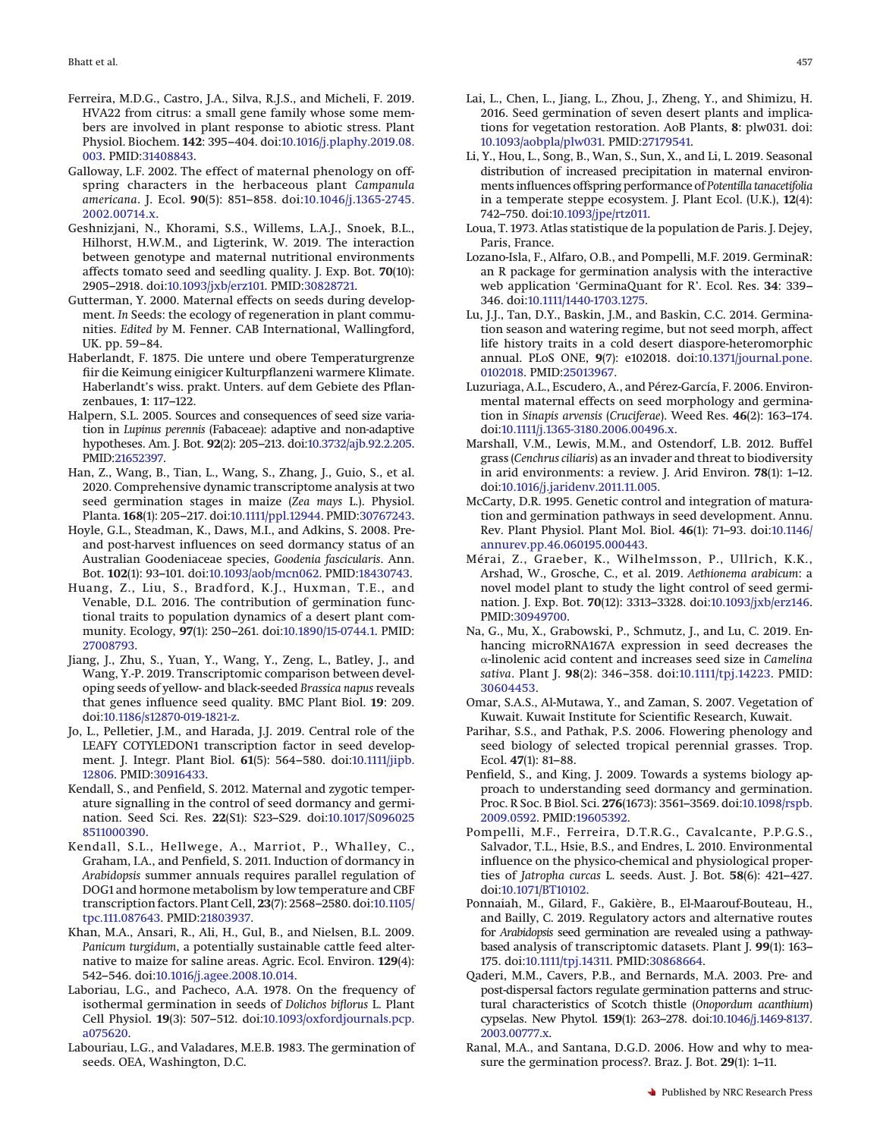- <span id="page-8-15"></span>Ferreira, M.D.G., Castro, J.A., Silva, R.J.S., and Micheli, F. 2019. HVA22 from citrus: a small gene family whose some members are involved in plant response to abiotic stress. Plant Physiol. Biochem. **142**: 395–404. doi:10.1016/j.plaphy.2019.08. 003. PMID:31408843.
- <span id="page-8-5"></span>Galloway, L.F. 2002. The effect of maternal phenology on offspring characters in the herbaceous plant *Campanula americana*. J. Ecol. **90**(5): 851–858. doi:10.1046/j.1365-2745. 2002.00714.x.
- <span id="page-8-16"></span>Geshnizjani, N., Khorami, S.S., Willems, L.A.J., Snoek, B.L., Hilhorst, H.W.M., and Ligterink, W. 2019. The interaction between genotype and maternal nutritional environments affects tomato seed and seedling quality. J. Exp. Bot. **70**(10): 2905–2918. doi:10.1093/jxb/erz101. PMID:30828721.
- <span id="page-8-3"></span>Gutterman, Y. 2000. Maternal effects on seeds during development. *In* Seeds: the ecology of regeneration in plant communities. *Edited by* M. Fenner. CAB International, Wallingford, UK. pp. 59–84.
- <span id="page-8-10"></span>Haberlandt, F. 1875. Die untere und obere Temperaturgrenze fiir die Keimung einigicer Kulturpflanzeni warmere Klimate. Haberlandt's wiss. prakt. Unters. auf dem Gebiete des Pflanzenbaues, **1**: 117–122.
- <span id="page-8-24"></span>Halpern, S.L. 2005. Sources and consequences of seed size variation in *Lupinus perennis* (Fabaceae): adaptive and non-adaptive hypotheses. Am. J. Bot. **92**(2): 205–213. doi:10.3732/ajb.92.2.205. PMID:21652397.
- <span id="page-8-21"></span>Han, Z., Wang, B., Tian, L., Wang, S., Zhang, J., Guio, S., et al. 2020. Comprehensive dynamic transcriptome analysis at two seed germination stages in maize (*Zea mays* L.). Physiol. Planta. **168**(1): 205–217. doi:10.1111/ppl.12944. PMID:30767243.
- <span id="page-8-25"></span>Hoyle, G.L., Steadman, K., Daws, M.I., and Adkins, S. 2008. Preand post-harvest influences on seed dormancy status of an Australian Goodeniaceae species, *Goodenia fascicularis*. Ann. Bot. **102**(1): 93–101. doi:10.1093/aob/mcn062. PMID:18430743.
- <span id="page-8-1"></span>Huang, Z., Liu, S., Bradford, K.J., Huxman, T.E., and Venable, D.L. 2016. The contribution of germination functional traits to population dynamics of a desert plant community. Ecology, **97**(1): 250–261. doi:10.1890/15-0744.1. PMID: 27008793.
- <span id="page-8-17"></span>Jiang, J., Zhu, S., Yuan, Y., Wang, Y., Zeng, L., Batley, J., and Wang, Y.-P. 2019. Transcriptomic comparison between developing seeds of yellow- and black-seeded *Brassica napus* reveals that genes influence seed quality. BMC Plant Biol. **19**: 209. doi:10.1186/s12870-019-1821-z.
- <span id="page-8-4"></span>Jo, L., Pelletier, J.M., and Harada, J.J. 2019. Central role of the LEAFY COTYLEDON1 transcription factor in seed development. J. Integr. Plant Biol. **61**(5): 564–580. doi:10.1111/jipb. 12806. PMID:30916433.
- <span id="page-8-0"></span>Kendall, S., and Penfield, S. 2012. Maternal and zygotic temperature signalling in the control of seed dormancy and germination. Seed Sci. Res. **22**(S1): S23–S29. doi:10.1017/S096025 8511000390.
- <span id="page-8-29"></span>Kendall, S.L., Hellwege, A., Marriot, P., Whalley, C., Graham, I.A., and Penfield, S. 2011. Induction of dormancy in *Arabidopsis* summer annuals requires parallel regulation of DOG1 and hormone metabolism by low temperature and CBF transcription factors. Plant Cell, **23**(7): 2568–2580. doi:10.1105/ tpc.111.087643. PMID:21803937.
- <span id="page-8-7"></span>Khan, M.A., Ansari, R., Ali, H., Gul, B., and Nielsen, B.L. 2009. *Panicum turgidum*, a potentially sustainable cattle feed alternative to maize for saline areas. Agric. Ecol. Environ. **129**(4): 542–546. doi:10.1016/j.agee.2008.10.014.
- <span id="page-8-11"></span>Laboriau, L.G., and Pacheco, A.A. 1978. On the frequency of isothermal germination in seeds of *Dolichos biflorus* L. Plant Cell Physiol. **19**(3): 507–512. doi:10.1093/oxfordjournals.pcp. a075620.
- <span id="page-8-12"></span>Labouriau, L.G., and Valadares, M.E.B. 1983. The germination of seeds. OEA, Washington, D.C.
- <span id="page-8-32"></span>Lai, L., Chen, L., Jiang, L., Zhou, J., Zheng, Y., and Shimizu, H. 2016. Seed germination of seven desert plants and implications for vegetation restoration. AoB Plants, **8**: plw031. doi: 10.1093/aobpla/plw031. PMID:27179541.
- <span id="page-8-27"></span>Li, Y., Hou, L., Song, B., Wan, S., Sun, X., and Li, L. 2019. Seasonal distribution of increased precipitation in maternal environments influences offspring performance of *Potentilla tanacetifolia* in a temperate steppe ecosystem. J. Plant Ecol. (U.K.), **12**(4): 742–750. doi:10.1093/jpe/rtz011.
- <span id="page-8-14"></span>Loua, T. 1973. Atlas statistique de la population de Paris. J. Dejey, Paris, France.
- <span id="page-8-22"></span>Lozano-Isla, F., Alfaro, O.B., and Pompelli, M.F. 2019. GerminaR: an R package for germination analysis with the interactive web application 'GerminaQuant for R'. Ecol. Res. **34**: 339– 346. doi:10.1111/1440-1703.1275.
- <span id="page-8-23"></span>Lu, J.J., Tan, D.Y., Baskin, J.M., and Baskin, C.C. 2014. Germination season and watering regime, but not seed morph, affect life history traits in a cold desert diaspore-heteromorphic annual. PLoS ONE, **9**(7): e102018. doi:10.1371/journal.pone. 0102018. PMID:25013967.
- <span id="page-8-6"></span>Luzuriaga, A.L., Escudero, A., and Pérez-García, F. 2006. Environmental maternal effects on seed morphology and germination in *Sinapis arvensis* (*Cruciferae*). Weed Res. **46**(2): 163–174. doi:10.1111/j.1365-3180.2006.00496.x.
- <span id="page-8-8"></span>Marshall, V.M., Lewis, M.M., and Ostendorf, L.B. 2012. Buffel grass (*Cenchrus ciliaris*) as an invader and threat to biodiversity in arid environments: a review. J. Arid Environ. **78**(1): 1–12. doi:10.1016/j.jaridenv.2011.11.005.
- <span id="page-8-2"></span>McCarty, D.R. 1995. Genetic control and integration of maturation and germination pathways in seed development. Annu. Rev. Plant Physiol. Plant Mol. Biol. **46**(1): 71–93. doi:10.1146/ annurev.pp.46.060195.000443.
- <span id="page-8-18"></span>Mérai, Z., Graeber, K., Wilhelmsson, P., Ullrich, K.K., Arshad, W., Grosche, C., et al. 2019. *Aethionema arabicum*: a novel model plant to study the light control of seed germination. J. Exp. Bot. **70**(12): 3313–3328. doi:10.1093/jxb/erz146. PMID:30949700.
- <span id="page-8-19"></span>Na, G., Mu, X., Grabowski, P., Schmutz, J., and Lu, C. 2019. Enhancing microRNA167A expression in seed decreases the -linolenic acid content and increases seed size in *Camelina sativa*. Plant J. **98**(2): 346–358. doi:10.1111/tpj.14223. PMID: 30604453.
- <span id="page-8-31"></span>Omar, S.A.S., Al-Mutawa, Y., and Zaman, S. 2007. Vegetation of Kuwait. Kuwait Institute for Scientific Research, Kuwait.
- <span id="page-8-30"></span>Parihar, S.S., and Pathak, P.S. 2006. Flowering phenology and seed biology of selected tropical perennial grasses. Trop. Ecol. **47**(1): 81–88.
- <span id="page-8-9"></span>Penfield, S., and King, J. 2009. Towards a systems biology approach to understanding seed dormancy and germination. Proc. R Soc. B Biol. Sci. **276**(1673): 3561–3569. doi:10.1098/rspb. 2009.0592. PMID:19605392.
- <span id="page-8-26"></span>Pompelli, M.F., Ferreira, D.T.R.G., Cavalcante, P.P.G.S., Salvador, T.L., Hsie, B.S., and Endres, L. 2010. Environmental influence on the physico-chemical and physiological properties of *Jatropha curcas* L. seeds. Aust. J. Bot. **58**(6): 421–427. doi:10.1071/BT10102.
- <span id="page-8-20"></span>Ponnaiah, M., Gilard, F., Gakière, B., El-Maarouf-Bouteau, H., and Bailly, C. 2019. Regulatory actors and alternative routes for *Arabidopsis* seed germination are revealed using a pathwaybased analysis of transcriptomic datasets. Plant J. **99**(1): 163– 175. doi:10.1111/tpj.14311. PMID:30868664.
- <span id="page-8-28"></span>Qaderi, M.M., Cavers, P.B., and Bernards, M.A. 2003. Pre- and post-dispersal factors regulate germination patterns and structural characteristics of Scotch thistle (*Onopordum acanthium*) cypselas. New Phytol. **159**(1): 263–278. doi:10.1046/j.1469-8137. 2003.00777.x.
- <span id="page-8-13"></span>Ranal, M.A., and Santana, D.G.D. 2006. How and why to measure the germination process?. Braz. J. Bot. **29**(1): 1–11.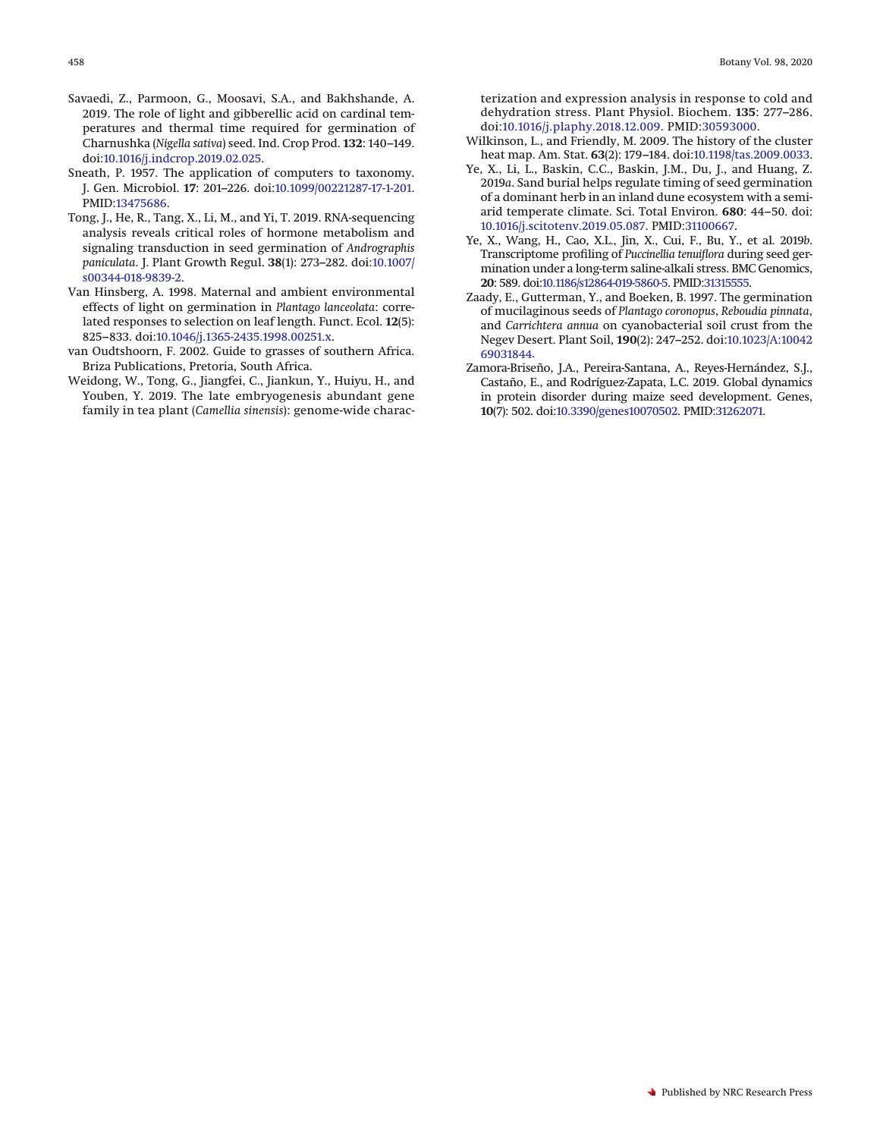- <span id="page-9-9"></span>Savaedi, Z., Parmoon, G., Moosavi, S.A., and Bakhshande, A. 2019. The role of light and gibberellic acid on cardinal temperatures and thermal time required for germination of Charnushka (*Nigella sativa*) seed. Ind. Crop Prod. **132**: 140–149. doi:10.1016/j.indcrop.2019.02.025.
- <span id="page-9-2"></span>Sneath, P. 1957. The application of computers to taxonomy. J. Gen. Microbiol. **17**: 201–226. doi:10.1099/00221287-17-1-201. PMID:13475686.
- <span id="page-9-6"></span>Tong, J., He, R., Tang, X., Li, M., and Yi, T. 2019. RNA-sequencing analysis reveals critical roles of hormone metabolism and signaling transduction in seed germination of *Andrographis paniculata*. J. Plant Growth Regul. **38**(1): 273–282. doi:10.1007/ s00344-018-9839-2.
- <span id="page-9-7"></span>Van Hinsberg, A. 1998. Maternal and ambient environmental effects of light on germination in *Plantago lanceolata*: correlated responses to selection on leaf length. Funct. Ecol. **12**(5): 825–833. doi:10.1046/j.1365-2435.1998.00251.x.
- <span id="page-9-0"></span>van Oudtshoorn, F. 2002. Guide to grasses of southern Africa. Briza Publications, Pretoria, South Africa.
- <span id="page-9-3"></span>Weidong, W., Tong, G., Jiangfei, C., Jiankun, Y., Huiyu, H., and Youben, Y. 2019. The late embryogenesis abundant gene family in tea plant (*Camellia sinensis*): genome-wide charac-

terization and expression analysis in response to cold and dehydration stress. Plant Physiol. Biochem. **135**: 277–286. doi:10.1016/j.plaphy.2018.12.009. PMID:30593000.

- <span id="page-9-1"></span>Wilkinson, L., and Friendly, M. 2009. The history of the cluster heat map. Am. Stat. **63**(2): 179–184. doi:10.1198/tas.2009.0033.
- <span id="page-9-8"></span>Ye, X., Li, L., Baskin, C.C., Baskin, J.M., Du, J., and Huang, Z. 2019*a*. Sand burial helps regulate timing of seed germination of a dominant herb in an inland dune ecosystem with a semiarid temperate climate. Sci. Total Environ. **680**: 44–50. doi: 10.1016/j.scitotenv.2019.05.087. PMID:31100667.
- <span id="page-9-4"></span>Ye, X., Wang, H., Cao, X.L., Jin, X., Cui, F., Bu, Y., et al. 2019*b*. Transcriptome profiling of *Puccinellia tenuiflora* during seed germination under a long-term saline-alkali stress. BMC Genomics, **20**: 589. doi:10.1186/s12864-019-5860-5. PMID:31315555.
- <span id="page-9-10"></span>Zaady, E., Gutterman, Y., and Boeken, B. 1997. The germination of mucilaginous seeds of *Plantago coronopus*, *Reboudia pinnata*, and *Carrichtera annua* on cyanobacterial soil crust from the Negev Desert. Plant Soil, **190**(2): 247–252. doi:10.1023/A:10042 69031844.
- <span id="page-9-5"></span>Zamora-Briseño, J.A., Pereira-Santana, A., Reyes-Hernández, S.J., Castaño, E., and Rodríguez-Zapata, L.C. 2019. Global dynamics in protein disorder during maize seed development. Genes, **10**(7): 502. doi:10.3390/genes10070502. PMID:31262071.